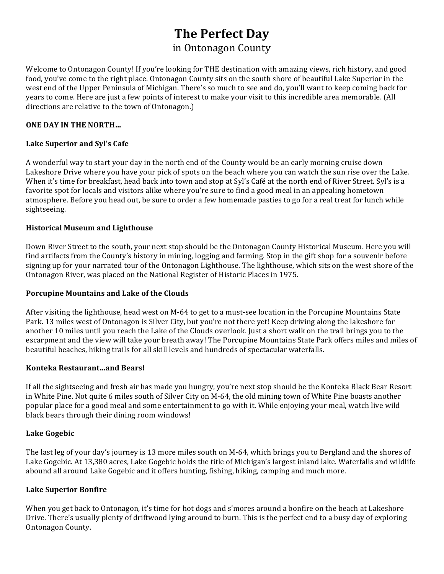# **The Perfect Day**

# in Ontonagon County

Welcome to Ontonagon County! If you're looking for THE destination with amazing views, rich history, and good food, you've come to the right place. Ontonagon County sits on the south shore of beautiful Lake Superior in the west end of the Upper Peninsula of Michigan. There's so much to see and do, you'll want to keep coming back for years to come. Here are just a few points of interest to make your visit to this incredible area memorable. (All directions are relative to the town of Ontonagon.)

# **ONE DAY IN THE NORTH...**

# Lake Superior and Syl's Cafe

A wonderful way to start your day in the north end of the County would be an early morning cruise down Lakeshore Drive where you have your pick of spots on the beach where you can watch the sun rise over the Lake. When it's time for breakfast, head back into town and stop at Syl's Café at the north end of River Street. Syl's is a favorite spot for locals and visitors alike where you're sure to find a good meal in an appealing hometown atmosphere. Before you head out, be sure to order a few homemade pasties to go for a real treat for lunch while sightseeing. 

# **Historical Museum and Lighthouse**

Down River Street to the south, your next stop should be the Ontonagon County Historical Museum. Here you will find artifacts from the County's history in mining, logging and farming. Stop in the gift shop for a souvenir before signing up for your narrated tour of the Ontonagon Lighthouse. The lighthouse, which sits on the west shore of the Ontonagon River, was placed on the National Register of Historic Places in 1975.

## Porcupine Mountains and Lake of the Clouds

After visiting the lighthouse, head west on M-64 to get to a must-see location in the Porcupine Mountains State Park. 13 miles west of Ontonagon is Silver City, but you're not there yet! Keep driving along the lakeshore for another 10 miles until you reach the Lake of the Clouds overlook. Just a short walk on the trail brings you to the escarpment and the view will take your breath away! The Porcupine Mountains State Park offers miles and miles of beautiful beaches, hiking trails for all skill levels and hundreds of spectacular waterfalls.

## **Konteka Restaurant…and Bears!**

If all the sightseeing and fresh air has made you hungry, you're next stop should be the Konteka Black Bear Resort in White Pine. Not quite 6 miles south of Silver City on M-64, the old mining town of White Pine boasts another popular place for a good meal and some entertainment to go with it. While enjoying your meal, watch live wild black bears through their dining room windows!

## **Lake Gogebic**

The last leg of your day's journey is 13 more miles south on M-64, which brings you to Bergland and the shores of Lake Gogebic. At 13,380 acres, Lake Gogebic holds the title of Michigan's largest inland lake. Waterfalls and wildlife abound all around Lake Gogebic and it offers hunting, fishing, hiking, camping and much more.

# **Lake Superior Bonfire**

When you get back to Ontonagon, it's time for hot dogs and s'mores around a bonfire on the beach at Lakeshore Drive. There's usually plenty of driftwood lying around to burn. This is the perfect end to a busy day of exploring Ontonagon County.